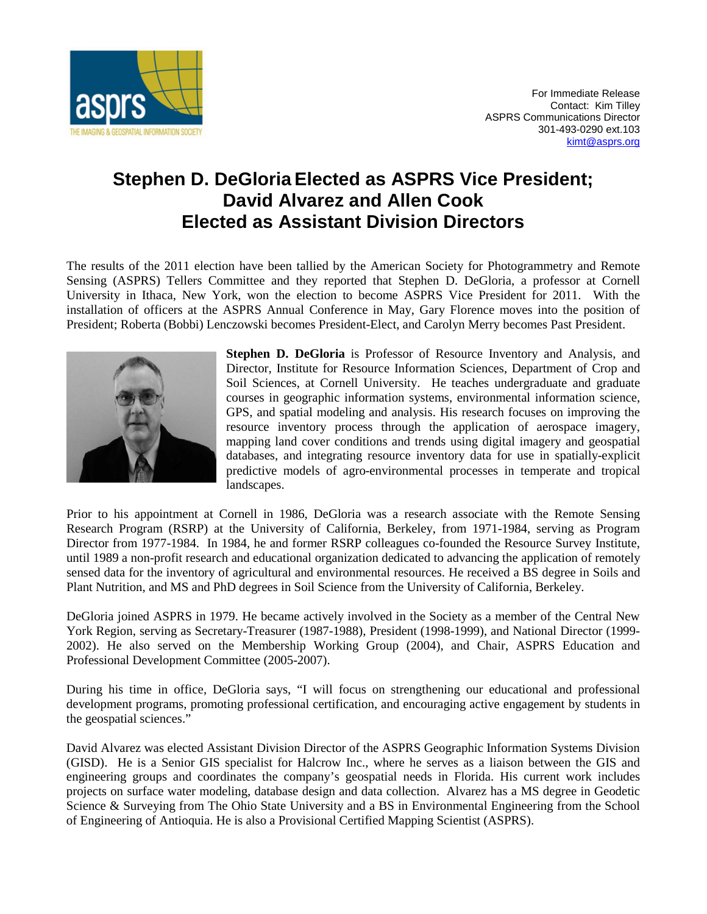

## **Stephen D. DeGloria Elected as ASPRS Vice President; David Alvarez and Allen Cook Elected as Assistant Division Directors**

The results of the 2011 election have been tallied by the American Society for Photogrammetry and Remote Sensing (ASPRS) Tellers Committee and they reported that Stephen D. DeGloria, a professor at Cornell University in Ithaca, New York, won the election to become ASPRS Vice President for 2011. With the installation of officers at the ASPRS Annual Conference in May, Gary Florence moves into the position of President; Roberta (Bobbi) Lenczowski becomes President-Elect, and Carolyn Merry becomes Past President.



**Stephen D. DeGloria** is Professor of Resource Inventory and Analysis, and Director, Institute for Resource Information Sciences, Department of Crop and Soil Sciences, at Cornell University. He teaches undergraduate and graduate courses in geographic information systems, environmental information science, GPS, and spatial modeling and analysis. His research focuses on improving the resource inventory process through the application of aerospace imagery, mapping land cover conditions and trends using digital imagery and geospatial databases, and integrating resource inventory data for use in spatially-explicit predictive models of agro-environmental processes in temperate and tropical landscapes.

Prior to his appointment at Cornell in 1986, DeGloria was a research associate with the Remote Sensing Research Program (RSRP) at the University of California, Berkeley, from 1971-1984, serving as Program Director from 1977-1984. In 1984, he and former RSRP colleagues co-founded the Resource Survey Institute, until 1989 a non-profit research and educational organization dedicated to advancing the application of remotely sensed data for the inventory of agricultural and environmental resources. He received a BS degree in Soils and Plant Nutrition, and MS and PhD degrees in Soil Science from the University of California, Berkeley.

DeGloria joined ASPRS in 1979. He became actively involved in the Society as a member of the Central New York Region, serving as Secretary-Treasurer (1987-1988), President (1998-1999), and National Director (1999- 2002). He also served on the Membership Working Group (2004), and Chair, ASPRS Education and Professional Development Committee (2005-2007).

During his time in office, DeGloria says, "I will focus on strengthening our educational and professional development programs, promoting professional certification, and encouraging active engagement by students in the geospatial sciences."

David Alvarez was elected Assistant Division Director of the ASPRS Geographic Information Systems Division (GISD). He is a Senior GIS specialist for Halcrow Inc., where he serves as a liaison between the GIS and engineering groups and coordinates the company's geospatial needs in Florida. His current work includes projects on surface water modeling, database design and data collection. Alvarez has a MS degree in Geodetic Science & Surveying from The Ohio State University and a BS in Environmental Engineering from the School of Engineering of Antioquia. He is also a Provisional Certified Mapping Scientist (ASPRS).